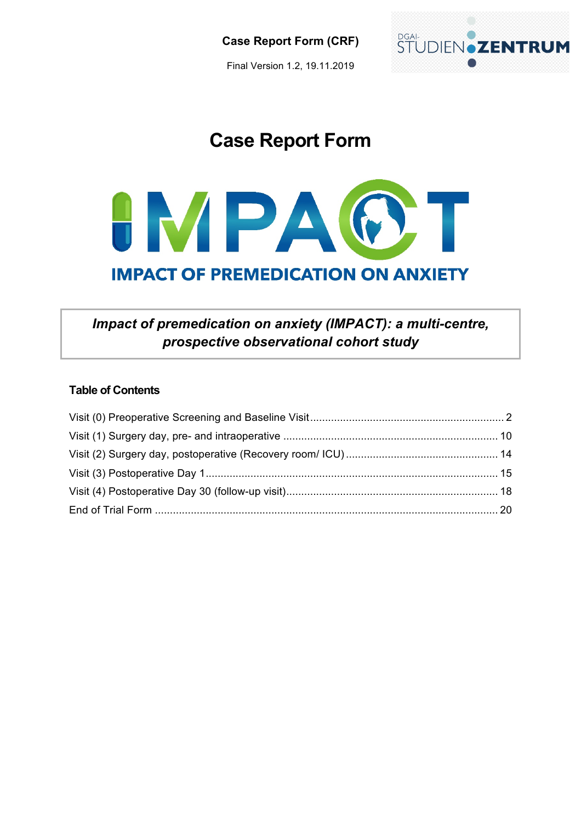Final Version 1.2, 19.11.2019



# **Case Report Form**



## *Impact of premedication on anxiety (IMPACT): a multi-centre, prospective observational cohort study*

### **Table of Contents**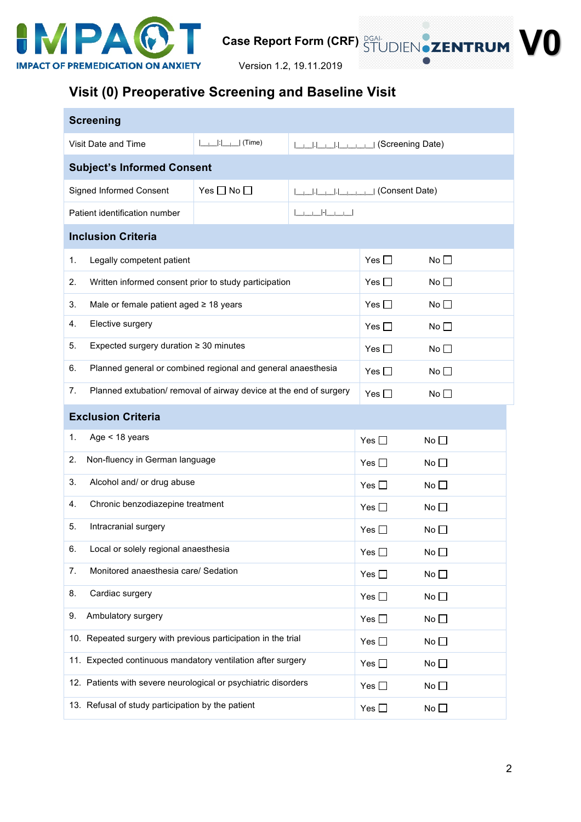

Version 1.2, 19.11.2019

## **Visit (0) Preoperative Screening and Baseline Visit**

| <b>Screening</b>                                                         |                                                         |                                       |               |              |
|--------------------------------------------------------------------------|---------------------------------------------------------|---------------------------------------|---------------|--------------|
| Visit Date and Time                                                      | $\left  \_\_\right  \cdot \right  \_\_\_\right $ (Time) | ILLI-I-I-I-I-I-I-I-I (Screening Date) |               |              |
| <b>Subject's Informed Consent</b>                                        |                                                         |                                       |               |              |
| Signed Informed Consent                                                  | Yes $\Box$ No $\Box$                                    |                                       |               |              |
| Patient identification number                                            |                                                         | أحصوصا أحاصوص                         |               |              |
| <b>Inclusion Criteria</b>                                                |                                                         |                                       |               |              |
| Legally competent patient<br>1.                                          |                                                         |                                       | Yes $\square$ | No $\square$ |
| 2.<br>Written informed consent prior to study participation              |                                                         |                                       | Yes $\square$ | No           |
| Male or female patient aged ≥ 18 years<br>3.                             |                                                         |                                       | Yes $\square$ | No           |
| Elective surgery<br>4.                                                   |                                                         |                                       | Yes $\Box$    | No           |
| Expected surgery duration $\geq 30$ minutes<br>5.                        |                                                         |                                       | Yes $\Box$    | No $\square$ |
| Planned general or combined regional and general anaesthesia<br>6.       |                                                         | Yes $\Box$                            | No $\square$  |              |
| 7.<br>Planned extubation/ removal of airway device at the end of surgery |                                                         |                                       | Yes $\Box$    | No           |
| <b>Exclusion Criteria</b>                                                |                                                         |                                       |               |              |
| Age < 18 years<br>1.                                                     |                                                         |                                       | Yes $\square$ | No $\square$ |
| 2.<br>Non-fluency in German language                                     |                                                         |                                       | Yes $\Box$    | No $\square$ |
| Alcohol and/ or drug abuse<br>3.                                         |                                                         |                                       | Yes $\Box$    | No $\square$ |
| Chronic benzodiazepine treatment<br>4.                                   |                                                         |                                       | Yes $\Box$    | No $\square$ |
| 5.<br>Intracranial surgery                                               |                                                         |                                       | Yes $\Box$    | No           |
| Local or solely regional anaesthesia<br>6.                               |                                                         |                                       | Yes $\square$ | No           |
| 7.<br>Monitored anaesthesia care/ Sedation                               |                                                         |                                       | Yes $\square$ | No $\square$ |
| 8.<br>Cardiac surgery                                                    |                                                         |                                       | Yes $\square$ | No $\square$ |
| 9.<br>Ambulatory surgery                                                 |                                                         |                                       | Yes $\square$ | No $\square$ |
| 10. Repeated surgery with previous participation in the trial            |                                                         |                                       | Yes $\square$ | No $\square$ |
| 11. Expected continuous mandatory ventilation after surgery              |                                                         |                                       | Yes $\square$ | No $\square$ |
| 12. Patients with severe neurological or psychiatric disorders           |                                                         |                                       | Yes $\square$ | No $\square$ |
| 13. Refusal of study participation by the patient                        |                                                         |                                       | Yes $\square$ | No $\square$ |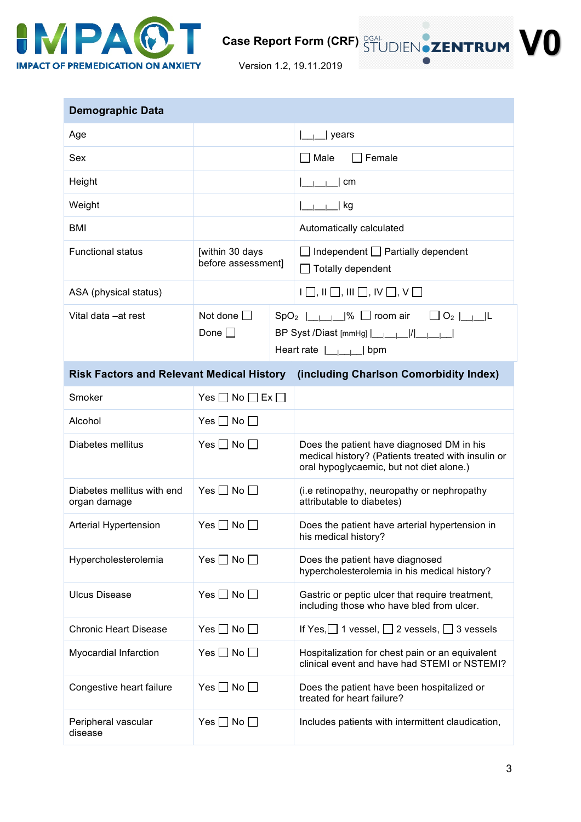

Version 1.2, 19.11.2019

| <b>Demographic Data</b>                          |                                         |                                                                                                                                                                                                           |
|--------------------------------------------------|-----------------------------------------|-----------------------------------------------------------------------------------------------------------------------------------------------------------------------------------------------------------|
| Age                                              |                                         | years                                                                                                                                                                                                     |
| Sex                                              |                                         | $\Box$ Male<br>Female                                                                                                                                                                                     |
| Height                                           |                                         | l cm                                                                                                                                                                                                      |
| Weight                                           |                                         | kg                                                                                                                                                                                                        |
| <b>BMI</b>                                       |                                         | Automatically calculated                                                                                                                                                                                  |
| <b>Functional status</b>                         | [within 30 days<br>before assessment]   | $\Box$ Independent $\Box$ Partially dependent<br>$\Box$ Totally dependent                                                                                                                                 |
| ASA (physical status)                            |                                         | $\Box$ , $\Box$ , $\Box$ , $\Box$ , $\Box$ , $\Box$ , $\lor$ $\Box$                                                                                                                                       |
| Vital data - at rest                             | Not done $\Box$<br>Done $\Box$          | $SpO_2$ $\Box$ $\Box$ $\Box$ room air $\Box$ $O_2$ $\Box$ $\Box$<br>BP Syst /Diast [mmHg]                          <br>Heart rate $\boxed{\phantom{a} \phantom{a}}$ $\boxed{\phantom{a} \phantom{a}}$ bpm |
| <b>Risk Factors and Relevant Medical History</b> |                                         | (including Charlson Comorbidity Index)                                                                                                                                                                    |
| Smoker                                           | Yes $\square$ No $\square$ Ex $\square$ |                                                                                                                                                                                                           |
| Alcohol                                          | Yes $\Box$ No $\Box$                    |                                                                                                                                                                                                           |
| Diabetes mellitus                                | Yes $\Box$ No $\Box$                    | Does the patient have diagnosed DM in his<br>medical history? (Patients treated with insulin or<br>oral hypoglycaemic, but not diet alone.)                                                               |
| Diabetes mellitus with end<br>organ damage       | Yes $\Box$ No $\Box$                    | (i.e retinopathy, neuropathy or nephropathy<br>attributable to diabetes)                                                                                                                                  |
| Arterial Hypertension                            | Yes $\Box$ No $\Box$                    | Does the patient have arterial hypertension in<br>his medical history?                                                                                                                                    |
| Hypercholesterolemia                             | Yes $\Box$ No $\Box$                    | Does the patient have diagnosed<br>hypercholesterolemia in his medical history?                                                                                                                           |
| <b>Ulcus Disease</b>                             | Yes $\Box$ No $\Box$                    | Gastric or peptic ulcer that require treatment,<br>including those who have bled from ulcer.                                                                                                              |
| <b>Chronic Heart Disease</b>                     | Yes $\square$ No $\square$              | If Yes, $\Box$ 1 vessel, $\Box$ 2 vessels, $\Box$ 3 vessels                                                                                                                                               |
| <b>Myocardial Infarction</b>                     | Yes $\Box$ No $\Box$                    | Hospitalization for chest pain or an equivalent<br>clinical event and have had STEMI or NSTEMI?                                                                                                           |
| Congestive heart failure                         | Yes $\Box$ No $\Box$                    | Does the patient have been hospitalized or<br>treated for heart failure?                                                                                                                                  |
| Peripheral vascular<br>disease                   | Yes $\Box$ No $\Box$                    | Includes patients with intermittent claudication,                                                                                                                                                         |

3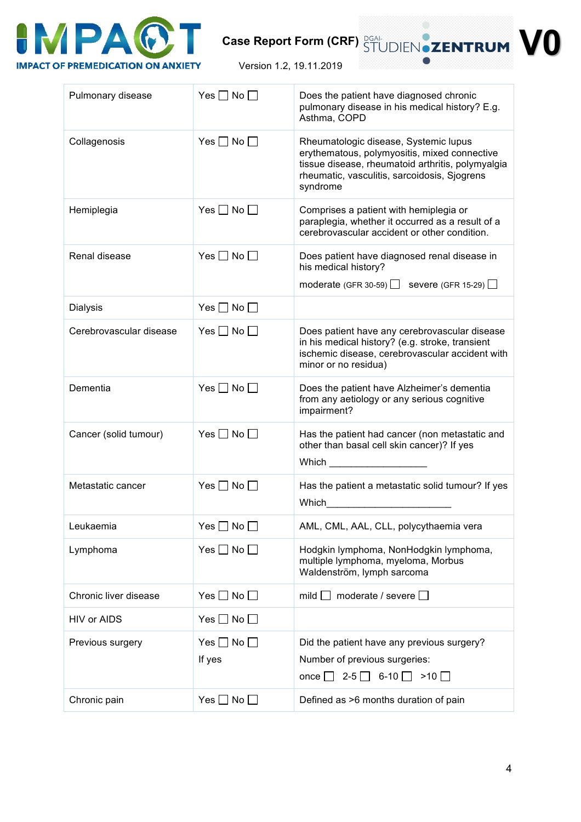

Version 1.2, 19.11.2019

| Pulmonary disease       | Yes $\Box$ No $\Box$           | Does the patient have diagnosed chronic<br>pulmonary disease in his medical history? E.g.<br>Asthma, COPD                                                                                              |
|-------------------------|--------------------------------|--------------------------------------------------------------------------------------------------------------------------------------------------------------------------------------------------------|
| Collagenosis            | Yes $\Box$ No $\Box$           | Rheumatologic disease, Systemic lupus<br>erythematous, polymyositis, mixed connective<br>tissue disease, rheumatoid arthritis, polymyalgia<br>rheumatic, vasculitis, sarcoidosis, Sjogrens<br>syndrome |
| Hemiplegia              | Yes $\Box$ No $\Box$           | Comprises a patient with hemiplegia or<br>paraplegia, whether it occurred as a result of a<br>cerebrovascular accident or other condition.                                                             |
| Renal disease           | Yes $\Box$ No $\Box$           | Does patient have diagnosed renal disease in<br>his medical history?<br>moderate (GFR 30-59) $\Box$ severe (GFR 15-29) $\Box$                                                                          |
| <b>Dialysis</b>         | Yes $\Box$ No $\Box$           |                                                                                                                                                                                                        |
| Cerebrovascular disease | Yes $\Box$ No $\Box$           | Does patient have any cerebrovascular disease<br>in his medical history? (e.g. stroke, transient<br>ischemic disease, cerebrovascular accident with<br>minor or no residua)                            |
| Dementia                | Yes $\Box$ No $\Box$           | Does the patient have Alzheimer's dementia<br>from any aetiology or any serious cognitive<br>impairment?                                                                                               |
| Cancer (solid tumour)   | Yes $\Box$ No $\Box$           | Has the patient had cancer (non metastatic and<br>other than basal cell skin cancer)? If yes<br>Which $\frac{1}{2}$                                                                                    |
| Metastatic cancer       | Yes $\Box$ No $\Box$           | Has the patient a metastatic solid tumour? If yes<br>Which                                                                                                                                             |
| Leukaemia               | Yes $\Box$ No $\Box$           | AML, CML, AAL, CLL, polycythaemia vera                                                                                                                                                                 |
| Lymphoma                | Yes $\Box$ No $\Box$           | Hodgkin lymphoma, NonHodgkin lymphoma,<br>multiple lymphoma, myeloma, Morbus<br>Waldenström, lymph sarcoma                                                                                             |
| Chronic liver disease   | Yes $\square$ No $\square$     | mild $\Box$ moderate / severe $\Box$                                                                                                                                                                   |
| <b>HIV or AIDS</b>      | Yes $\square$ No $\square$     |                                                                                                                                                                                                        |
| Previous surgery        | Yes $\Box$ No $\Box$<br>If yes | Did the patient have any previous surgery?<br>Number of previous surgeries:<br>once $\Box$ 2-5 $\Box$ 6-10 $\Box$<br>$>10$ $\Box$                                                                      |
| Chronic pain            | Yes $\Box$ No $\Box$           | Defined as >6 months duration of pain                                                                                                                                                                  |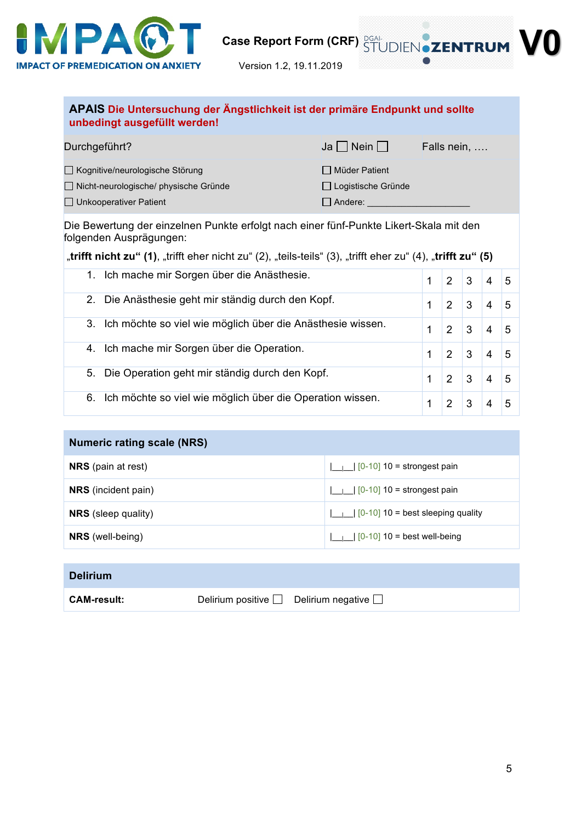

### **APAIS Die Untersuchung der Ängstlichkeit ist der primäre Endpunkt und sollte unbedingt ausgefüllt werden!**

| Durchgeführt?                           | $Ja \Box$ Nein $\Box$     | Falls nein, |
|-----------------------------------------|---------------------------|-------------|
| □ Kognitive/neurologische Störung       | □ Müder Patient           |             |
| □ Nicht-neurologische/ physische Gründe | $\Box$ Logistische Gründe |             |
| $\Box$ Unkooperativer Patient           | Andere:                   |             |

Die Bewertung der einzelnen Punkte erfolgt nach einer fünf-Punkte Likert-Skala mit den folgenden Ausprägungen:

"trifft nicht zu" (1), "trifft eher nicht zu" (2), "teils-teils" (3), "trifft eher zu" (4), "trifft zu" (5)

| Ich mache mir Sorgen über die Anästhesie.<br>1.                  |   | 2              | 3 | 4 | 5 |
|------------------------------------------------------------------|---|----------------|---|---|---|
| Die Anästhesie geht mir ständig durch den Kopf.<br>$2_{-}$       |   | 2              | 3 | 4 | 5 |
| Ich möchte so viel wie möglich über die Anästhesie wissen.<br>3. |   | $\overline{2}$ | 3 | 4 | 5 |
| Ich mache mir Sorgen über die Operation.<br>4.                   | 1 | 2              | 3 | 4 | 5 |
| Die Operation geht mir ständig durch den Kopf.<br>5.             |   | 2              | 3 | 4 | 5 |
| Ich möchte so viel wie möglich über die Operation wissen.<br>6.  |   | 2              | 3 | 4 | 5 |

### **Numeric rating scale (NRS)**

| <b>NRS</b> (pain at rest)  | $\boxed{\phantom{0}1 \phantom{0}}$ $\boxed{0.10}$ 10 = strongest pain              |
|----------------------------|------------------------------------------------------------------------------------|
| <b>NRS</b> (incident pain) | $\vert \ \vert$   $\vert$ $\vert$ $\vert$ $\vert$ 0-10 $\vert$ 10 = strongest pain |
| <b>NRS</b> (sleep quality) | $\boxed{\phantom{0}1 \phantom{0}}$ $\boxed{0.10}$ 10 = best sleeping quality       |
| <b>NRS</b> (well-being)    | $\boxed{\phantom{0}1 \phantom{0}}$ $\boxed{0-10}$ 10 = best well-being             |

| <b>Delirium</b>    |                                                   |
|--------------------|---------------------------------------------------|
| <b>CAM-result:</b> | Delirium positive $\Box$ Delirium negative $\Box$ |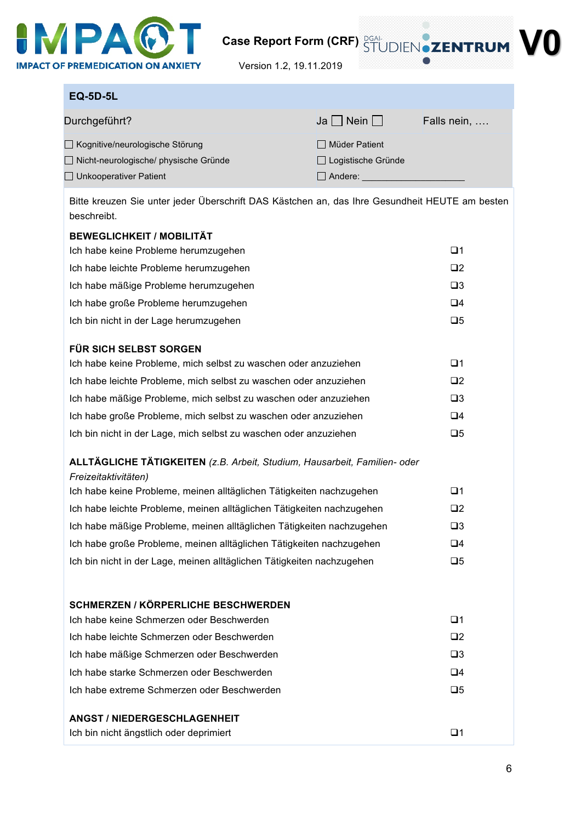

Version 1.2, 19.11.2019

### **EQ-5D-5L**

| Durchgeführt?                           | $Ja \Box$ Nein $\Box$ | Falls nein, |
|-----------------------------------------|-----------------------|-------------|
| □ Kognitive/neurologische Störung       | Müder Patient         |             |
| □ Nicht-neurologische/ physische Gründe | □ Logistische Gründe  |             |
| $\Box$ Unkooperativer Patient           | Andere:               |             |

Bitte kreuzen Sie unter jeder Überschrift DAS Kästchen an, das Ihre Gesundheit HEUTE am besten beschreibt.

| <b>BEWEGLICHKEIT / MOBILITÄT</b>                                                                  |             |
|---------------------------------------------------------------------------------------------------|-------------|
| Ich habe keine Probleme herumzugehen                                                              | $\Box$ 1    |
| Ich habe leichte Probleme herumzugehen                                                            | $\Box$ 2    |
| Ich habe mäßige Probleme herumzugehen                                                             | $\square$ 3 |
| Ich habe große Probleme herumzugehen                                                              | $\Box$ 4    |
| Ich bin nicht in der Lage herumzugehen                                                            | $\square 5$ |
| FÜR SICH SELBST SORGEN                                                                            |             |
| Ich habe keine Probleme, mich selbst zu waschen oder anzuziehen                                   | $\Box$ 1    |
| Ich habe leichte Probleme, mich selbst zu waschen oder anzuziehen                                 | $\square$   |
| Ich habe mäßige Probleme, mich selbst zu waschen oder anzuziehen                                  | $\square$ 3 |
| Ich habe große Probleme, mich selbst zu waschen oder anzuziehen                                   | $\Box 4$    |
|                                                                                                   |             |
| Ich bin nicht in der Lage, mich selbst zu waschen oder anzuziehen                                 | $\square 5$ |
| ALLTÄGLICHE TÄTIGKEITEN (z.B. Arbeit, Studium, Hausarbeit, Familien- oder<br>Freizeitaktivitäten) |             |
| Ich habe keine Probleme, meinen alltäglichen Tätigkeiten nachzugehen                              | $\Box$ 1    |
| Ich habe leichte Probleme, meinen alltäglichen Tätigkeiten nachzugehen                            | $\Box$ 2    |
| Ich habe mäßige Probleme, meinen alltäglichen Tätigkeiten nachzugehen                             | $\square$ 3 |
| Ich habe große Probleme, meinen alltäglichen Tätigkeiten nachzugehen                              | $\Box 4$    |
| Ich bin nicht in der Lage, meinen alltäglichen Tätigkeiten nachzugehen                            | $\square 5$ |
|                                                                                                   |             |
| <b>SCHMERZEN / KÖRPERLICHE BESCHWERDEN</b>                                                        |             |
| Ich habe keine Schmerzen oder Beschwerden                                                         | $\Box$ 1    |
| Ich habe leichte Schmerzen oder Beschwerden                                                       | $\square$   |
| Ich habe mäßige Schmerzen oder Beschwerden                                                        | $\square$ 3 |
| Ich habe starke Schmerzen oder Beschwerden                                                        | $\Box 4$    |
| Ich habe extreme Schmerzen oder Beschwerden                                                       | $\Box 5$    |
|                                                                                                   |             |
| <b>ANGST / NIEDERGESCHLAGENHEIT</b>                                                               |             |
| Ich bin nicht ängstlich oder deprimiert                                                           | $\Box$ 1    |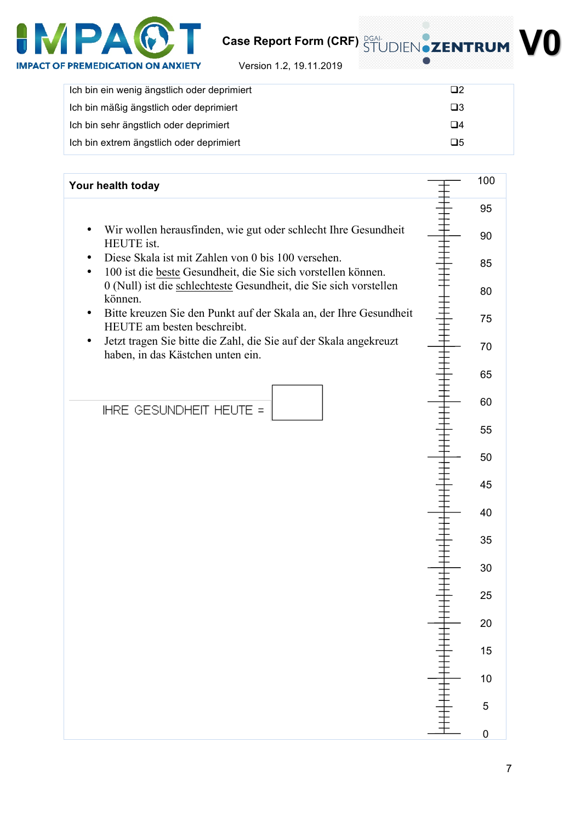

**V0**

Version 1.2, 19.11.2019

| Ich bin ein wenig ängstlich oder deprimiert | $\Box$ 2    |
|---------------------------------------------|-------------|
| Ich bin mäßig ängstlich oder deprimiert     | $\square$ 3 |
| Ich bin sehr ängstlich oder deprimiert      | $\Box 4$    |
| Ich bin extrem ängstlich oder deprimiert    | $\Box 5$    |

| Your health today                                                                                                                | 100 |
|----------------------------------------------------------------------------------------------------------------------------------|-----|
|                                                                                                                                  | 95  |
| Wir wollen herausfinden, wie gut oder schlecht Ihre Gesundheit<br>٠<br>HEUTE ist.                                                | 90  |
| Diese Skala ist mit Zahlen von 0 bis 100 versehen.<br>100 ist die beste Gesundheit, die Sie sich vorstellen können.<br>$\bullet$ | 85  |
| 0 (Null) ist die schlechteste Gesundheit, die Sie sich vorstellen<br>können.                                                     | 80  |
| Bitte kreuzen Sie den Punkt auf der Skala an, der Ihre Gesundheit<br>٠<br>HEUTE am besten beschreibt.                            | 75  |
| Jetzt tragen Sie bitte die Zahl, die Sie auf der Skala angekreuzt<br>$\bullet$<br>haben, in das Kästchen unten ein.              | 70  |
|                                                                                                                                  | 65  |
| IHRE GESUNDHEIT HEUTE =                                                                                                          | 60  |
|                                                                                                                                  | 55  |
|                                                                                                                                  | 50  |
|                                                                                                                                  | 45  |
|                                                                                                                                  | 40  |
|                                                                                                                                  | 35  |
|                                                                                                                                  | 30  |
|                                                                                                                                  | 25  |
|                                                                                                                                  | 20  |
|                                                                                                                                  | 15  |
|                                                                                                                                  | 10  |
|                                                                                                                                  | 5   |
|                                                                                                                                  | 0   |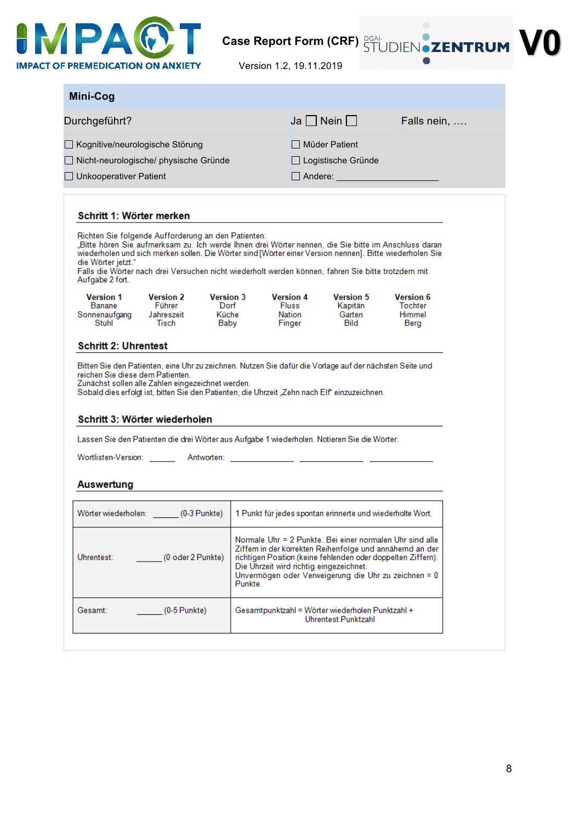

| Mini-Cog                                                                      |                                                                                                                                                                                                                                                                                                                                                                               |                                   |                                                                                                                                                                                                                                                                                          |                                       |                                              |  |
|-------------------------------------------------------------------------------|-------------------------------------------------------------------------------------------------------------------------------------------------------------------------------------------------------------------------------------------------------------------------------------------------------------------------------------------------------------------------------|-----------------------------------|------------------------------------------------------------------------------------------------------------------------------------------------------------------------------------------------------------------------------------------------------------------------------------------|---------------------------------------|----------------------------------------------|--|
| Durchgeführt?                                                                 |                                                                                                                                                                                                                                                                                                                                                                               |                                   |                                                                                                                                                                                                                                                                                          | $Ja$   Nein                           | Falls nein,                                  |  |
| □ Kognitive/neurologische Störung                                             |                                                                                                                                                                                                                                                                                                                                                                               |                                   |                                                                                                                                                                                                                                                                                          | I I Müder Patient                     |                                              |  |
| $\Box$ Nicht-neurologische/ physische Gründe<br>$\Box$ Unkooperativer Patient |                                                                                                                                                                                                                                                                                                                                                                               |                                   |                                                                                                                                                                                                                                                                                          | □ Logistische Gründe                  |                                              |  |
|                                                                               |                                                                                                                                                                                                                                                                                                                                                                               |                                   |                                                                                                                                                                                                                                                                                          | $\Box$ Andere: $\Box$                 |                                              |  |
| Schritt 1: Wörter merken                                                      |                                                                                                                                                                                                                                                                                                                                                                               |                                   |                                                                                                                                                                                                                                                                                          |                                       |                                              |  |
| die Wörter jetzt."<br>Aufgabe 2 fort.                                         | Richten Sie folgende Aufforderung an den Patienten:<br>Bitte hören Sie aufmerksam zu. Ich werde Ihnen drei Wörter nennen, die Sie bitte im Anschluss daran,<br>wiederholen und sich merken sollen. Die Wörter sind [Wörter einer Version nennen]. Bitte wiederholen Sie<br>Falls die Wörter nach drei Versuchen nicht wiederholt werden können, fahren Sie bitte trotzdem mit |                                   |                                                                                                                                                                                                                                                                                          |                                       |                                              |  |
| <b>Version 1</b><br>Banane                                                    | <b>Version 2</b><br>Führer                                                                                                                                                                                                                                                                                                                                                    | <b>Version 3</b><br>Dorf<br>Küche | <b>Version 4</b><br><b>Fluss</b><br>Nation                                                                                                                                                                                                                                               | <b>Version 5</b><br>Kapitän<br>Garten | <b>Version 6</b><br><b>Tochter</b><br>Himmel |  |
| Sonnenaufgang Jahreszeit<br>Stuhl                                             | Tisch                                                                                                                                                                                                                                                                                                                                                                         | Baby                              | Finger                                                                                                                                                                                                                                                                                   | Bild                                  | Berg                                         |  |
|                                                                               | Bitten Sie den Patienten, eine Uhr zu zeichnen. Nutzen Sie dafür die Vorlage auf der nächsten Seite und                                                                                                                                                                                                                                                                       |                                   |                                                                                                                                                                                                                                                                                          |                                       |                                              |  |
| <b>Schritt 2: Uhrentest</b><br>reichen Sie diese dem Patienten.               | Zunächst sollen alle Zahlen eingezeichnet werden.<br>Sobald dies erfolgt ist, bitten Sie den Patienten, die Uhrzeit "Zehn nach Elf" einzuzeichnen.<br>Schritt 3: Wörter wiederholen<br>Lassen Sie den Patienten die drei Wörter aus Aufgabe 1 wiederholen. Notieren Sie die Wörter.                                                                                           |                                   |                                                                                                                                                                                                                                                                                          |                                       |                                              |  |
|                                                                               |                                                                                                                                                                                                                                                                                                                                                                               |                                   |                                                                                                                                                                                                                                                                                          |                                       |                                              |  |
| Auswertung                                                                    |                                                                                                                                                                                                                                                                                                                                                                               |                                   |                                                                                                                                                                                                                                                                                          |                                       |                                              |  |
|                                                                               | Wörter wiederholen: (0-3 Punkte)                                                                                                                                                                                                                                                                                                                                              |                                   | 1 Punkt für jedes spontan erinnerte und wiederholte Wort.                                                                                                                                                                                                                                |                                       |                                              |  |
| Uhrentest:                                                                    | (0 oder 2 Punkte)                                                                                                                                                                                                                                                                                                                                                             | Punkte.                           | Normale Uhr = 2 Punkte. Bei einer normalen Uhr sind alle<br>Ziffern in der korrekten Reihenfolge und annähernd an der<br>richtigen Position (keine fehlenden oder doppelten Ziffern).<br>Die Uhrzeit wird richtig eingezeichnet.<br>Unvermögen oder Verweigerung die Uhr zu zeichnen = 0 |                                       |                                              |  |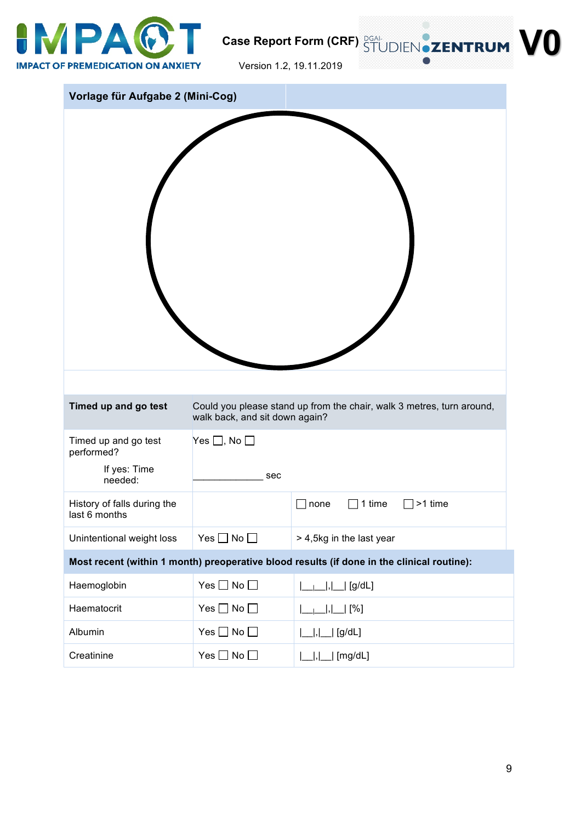

Version 1.2, 19.11.2019

| Vorlage für Aufgabe 2 (Mini-Cog)                              |                                     |                                                                                            |
|---------------------------------------------------------------|-------------------------------------|--------------------------------------------------------------------------------------------|
|                                                               |                                     |                                                                                            |
| Timed up and go test                                          | walk back, and sit down again?      | Could you please stand up from the chair, walk 3 metres, turn around,                      |
| Timed up and go test<br>performed?<br>If yes: Time<br>needed: | Yes $\square$ , No $\square$<br>sec |                                                                                            |
| History of falls during the<br>last 6 months                  |                                     | 1 time<br>>1 time<br>none                                                                  |
| Unintentional weight loss                                     | Yes $\Box$ No $\Box$                | > 4,5kg in the last year                                                                   |
|                                                               |                                     | Most recent (within 1 month) preoperative blood results (if done in the clinical routine): |
| Haemoglobin                                                   | Yes $\square$ No $\square$          | , __  [g/dL]                                                                               |
| Haematocrit                                                   | Yes $\Box$ No $\Box$                | [ <sup>96</sup> ]  __ , __ <sub> </sub>                                                    |
| Albumin                                                       | Yes $\Box$ No $\Box$                | , __  [g/dL]                                                                               |
| Creatinine                                                    | Yes $\Box$ No $\Box$                | $ \_\ $ , $ \_\ $ [mg/dL]                                                                  |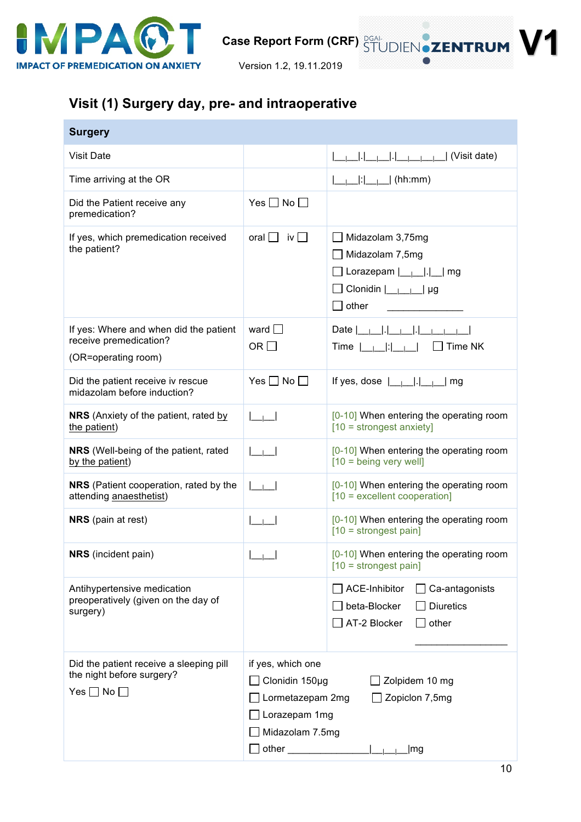

## **Visit (1) Surgery day, pre- and intraoperative**

| <b>Surgery</b>                                                                               |                                                                                                                                                 |                                                                                                                                                                                                                                                                                                                                                                                                                  |  |
|----------------------------------------------------------------------------------------------|-------------------------------------------------------------------------------------------------------------------------------------------------|------------------------------------------------------------------------------------------------------------------------------------------------------------------------------------------------------------------------------------------------------------------------------------------------------------------------------------------------------------------------------------------------------------------|--|
| <b>Visit Date</b>                                                                            |                                                                                                                                                 | (Visit date)                                                                                                                                                                                                                                                                                                                                                                                                     |  |
| Time arriving at the OR                                                                      |                                                                                                                                                 | ____ : ______  (hh:mm)                                                                                                                                                                                                                                                                                                                                                                                           |  |
| Did the Patient receive any<br>premedication?                                                | Yes $\Box$ No $\Box$                                                                                                                            |                                                                                                                                                                                                                                                                                                                                                                                                                  |  |
| If yes, which premedication received<br>the patient?                                         | oral $\Box$ iv $\Box$                                                                                                                           | Midazolam 3,75mg<br>$\Box$ Midazolam 7,5mg<br>$\Box$ Clonidin $\boxed{\phantom{a}}$ $\phantom{a}$ $\phantom{a}$ $\phantom{a}$ $\phantom{a}$ $\phantom{a}$ $\phantom{a}$ $\phantom{a}$ $\phantom{a}$ $\phantom{a}$ $\phantom{a}$ $\phantom{a}$ $\phantom{a}$ $\phantom{a}$ $\phantom{a}$ $\phantom{a}$ $\phantom{a}$ $\phantom{a}$ $\phantom{a}$ $\phantom{a}$ $\phantom{a}$ $\phantom{a}$ $\phantom{a}$<br>other |  |
| If yes: Where and when did the patient<br>receive premedication?<br>(OR=operating room)      | ward $\Box$<br>OR $\square$                                                                                                                     | Date $ $ <sub>__ </sub> __ . __ <sub> </sub> __ . __ <sub> </sub> ___ <sub> </sub> ___<br>$\mathbf{u}$ is the set of $\mathbf{u}$<br>Time NK<br>Time $ $                                                                                                                                                                                                                                                         |  |
| Did the patient receive iv rescue<br>midazolam before induction?                             | Yes $\Box$ No $\Box$                                                                                                                            | If yes, dose $ \_\_\_\_\_\ $ .                                                                                                                                                                                                                                                                                                                                                                                   |  |
| <b>NRS</b> (Anxiety of the patient, rated by<br>the patient)                                 |                                                                                                                                                 | [0-10] When entering the operating room<br>$[10 =$ strongest anxiety]                                                                                                                                                                                                                                                                                                                                            |  |
| NRS (Well-being of the patient, rated<br>by the patient)                                     |                                                                                                                                                 | [0-10] When entering the operating room<br>$[10 = being very well]$                                                                                                                                                                                                                                                                                                                                              |  |
| <b>NRS</b> (Patient cooperation, rated by the<br>attending anaesthetist)                     | $\sim$ 1 $\sim$ 1                                                                                                                               | [0-10] When entering the operating room<br>$[10 =$ excellent cooperation]                                                                                                                                                                                                                                                                                                                                        |  |
| <b>NRS</b> (pain at rest)                                                                    |                                                                                                                                                 | [0-10] When entering the operating room<br>$[10 =$ strongest pain]                                                                                                                                                                                                                                                                                                                                               |  |
| <b>NRS</b> (incident pain)                                                                   |                                                                                                                                                 | [0-10] When entering the operating room<br>$[10 =$ strongest pain]                                                                                                                                                                                                                                                                                                                                               |  |
| Antihypertensive medication<br>preoperatively (given on the day of<br>surgery)               |                                                                                                                                                 | <b>ACE-Inhibitor</b><br>Ca-antagonists<br>beta-Blocker<br><b>Diuretics</b><br>AT-2 Blocker<br>other                                                                                                                                                                                                                                                                                                              |  |
| Did the patient receive a sleeping pill<br>the night before surgery?<br>Yes $\Box$ No $\Box$ | if yes, which one<br>Clonidin 150µg<br>Zolpidem 10 mg<br>Lormetazepam 2mg<br>Zopiclon 7,5mg<br>Lorazepam 1mg<br>Midazolam 7.5mg<br>other<br> mg |                                                                                                                                                                                                                                                                                                                                                                                                                  |  |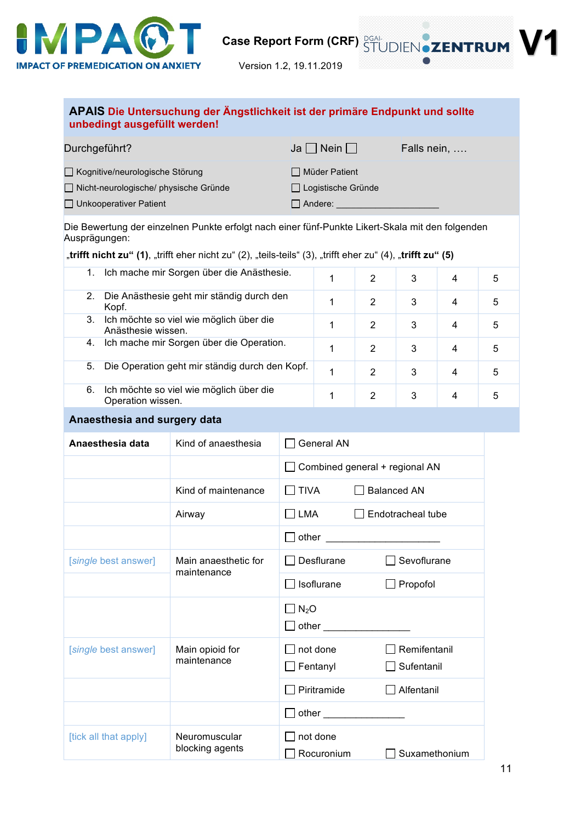

|                                                      | unbedingt ausgefüllt werden!                                                                                |                               |                                             |                                |                   |   |   |
|------------------------------------------------------|-------------------------------------------------------------------------------------------------------------|-------------------------------|---------------------------------------------|--------------------------------|-------------------|---|---|
| Durchgeführt?                                        |                                                                                                             |                               | Ja $\Box$ Nein $\Box$                       |                                | Falls nein,       |   |   |
| Kognitive/neurologische Störung                      |                                                                                                             |                               | $\Box$ Müder Patient                        |                                |                   |   |   |
| Nicht-neurologische/ physische Gründe                |                                                                                                             |                               | □ Logistische Gründe                        |                                |                   |   |   |
| $\Box$ Unkooperativer Patient                        |                                                                                                             |                               | $\Box$ Andere: $\_\_\_\_\_\_\_\_\_\_\_\_\_$ |                                |                   |   |   |
| Ausprägungen:                                        | Die Bewertung der einzelnen Punkte erfolgt nach einer fünf-Punkte Likert-Skala mit den folgenden            |                               |                                             |                                |                   |   |   |
|                                                      | "trifft nicht zu" (1), "trifft eher nicht zu" (2), "teils-teils" (3), "trifft eher zu" (4), "trifft zu" (5) |                               |                                             |                                |                   |   |   |
| 1.                                                   | Ich mache mir Sorgen über die Anästhesie.                                                                   |                               | 1                                           | 2                              | 3                 | 4 | 5 |
| 2.<br>Kopf.                                          | Die Anästhesie geht mir ständig durch den                                                                   |                               | 1                                           | 2                              | 3                 | 4 | 5 |
| 3.<br>Anästhesie wissen.                             | Ich möchte so viel wie möglich über die                                                                     |                               | 1                                           | $\overline{2}$                 | 3                 | 4 | 5 |
|                                                      | 4. Ich mache mir Sorgen über die Operation.                                                                 |                               | 1                                           | 2                              | 3                 | 4 | 5 |
| Die Operation geht mir ständig durch den Kopf.<br>5. |                                                                                                             |                               | 1                                           | 2                              | 3                 | 4 | 5 |
| 6.<br>Operation wissen.                              | Ich möchte so viel wie möglich über die                                                                     |                               | 1                                           | 2                              | 3                 | 4 | 5 |
| Anaesthesia and surgery data                         |                                                                                                             |                               |                                             |                                |                   |   |   |
| Anaesthesia data                                     | Kind of anaesthesia                                                                                         |                               | <b>General AN</b>                           |                                |                   |   |   |
|                                                      |                                                                                                             |                               |                                             | Combined general + regional AN |                   |   |   |
|                                                      | Kind of maintenance                                                                                         | <b>TIVA</b><br>$\blacksquare$ |                                             | <b>Balanced AN</b>             |                   |   |   |
|                                                      | LMA<br>Airway                                                                                               |                               |                                             |                                | Endotracheal tube |   |   |
|                                                      |                                                                                                             | other                         |                                             |                                |                   |   |   |
| [single best answer]                                 | Main anaesthetic for<br>maintenance                                                                         |                               | Desflurane                                  |                                | Sevoflurane       |   |   |
|                                                      |                                                                                                             |                               | Isoflurane                                  |                                | $\Box$ Propofol   |   |   |
|                                                      |                                                                                                             | $N_2O$<br>$\blacksquare$      |                                             |                                |                   |   |   |

 $\Box$  other [*single* best answer] | Main opioid for maintenance □ not done □ Remifentanil Fentanyl **Sufentanil** □ Piritramide **Alfentanil**  $\Box$  other  $\_$ [tick all that apply] Neuromuscular blocking agents  $\Box$  not done  $\Box$  Rocuronium  $\Box$  Suxamethonium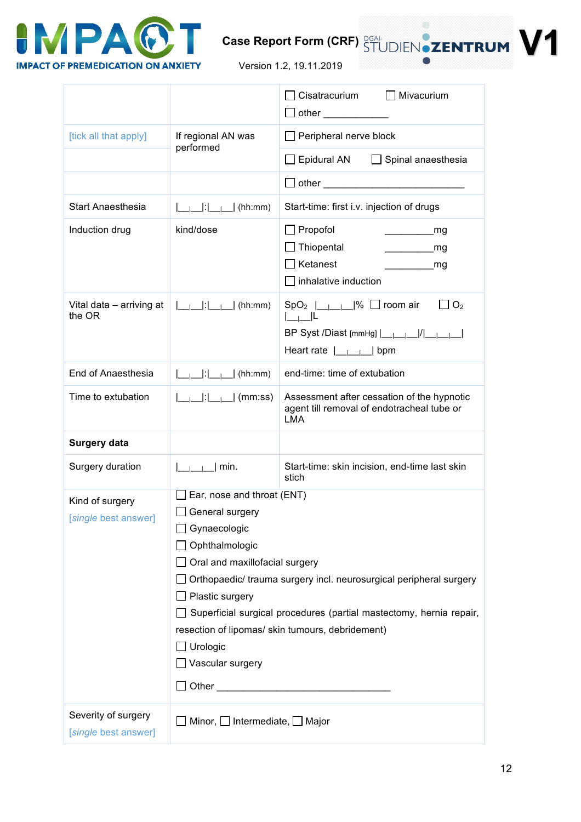

Version 1.2, 19.11.2019

|                                             |                                                                                                                                                                                                                                                                                                                                                                                            | Cisatracurium<br>$\Box$ Mivacurium<br>_  other _____________                                                                                                              |  |  |
|---------------------------------------------|--------------------------------------------------------------------------------------------------------------------------------------------------------------------------------------------------------------------------------------------------------------------------------------------------------------------------------------------------------------------------------------------|---------------------------------------------------------------------------------------------------------------------------------------------------------------------------|--|--|
| [tick all that apply]                       | If regional AN was<br>performed                                                                                                                                                                                                                                                                                                                                                            | $\Box$ Peripheral nerve block                                                                                                                                             |  |  |
|                                             |                                                                                                                                                                                                                                                                                                                                                                                            | $\Box$ Epidural AN $\Box$ Spinal anaesthesia                                                                                                                              |  |  |
|                                             |                                                                                                                                                                                                                                                                                                                                                                                            |                                                                                                                                                                           |  |  |
| <b>Start Anaesthesia</b>                    | $\begin{bmatrix} 1 & 1 \\ 1 & 1 \end{bmatrix}$ (hh:mm)                                                                                                                                                                                                                                                                                                                                     | Start-time: first i.v. injection of drugs                                                                                                                                 |  |  |
| Induction drug                              | kind/dose                                                                                                                                                                                                                                                                                                                                                                                  | $\Box$ Propofol<br>_mg<br>Thiopental<br>_mg<br>Ketanest<br>mg<br>inhalative induction                                                                                     |  |  |
| Vital data - arriving at<br>the OR          | $\begin{bmatrix} 1 & 1 \\ 1 & 1 \end{bmatrix}$ (hh:mm)                                                                                                                                                                                                                                                                                                                                     | $SpO_2$        % $\Box$ room air<br>$\Box$ O <sub>2</sub><br>$L_{\perp}$<br>BP Syst /Diast [mmHg]  ______ / ______ <br>Heart rate $\boxed{\phantom{a} \phantom{a}}$   bpm |  |  |
| End of Anaesthesia                          | $\begin{bmatrix} 1 & 1 \\ 1 & 1 \end{bmatrix}$ (hh:mm)                                                                                                                                                                                                                                                                                                                                     | end-time: time of extubation                                                                                                                                              |  |  |
| Time to extubation                          | $ \_\_ \_\_ \_\_ \_\_ \$ (mm:ss)                                                                                                                                                                                                                                                                                                                                                           | Assessment after cessation of the hypnotic<br>agent till removal of endotracheal tube or<br><b>LMA</b>                                                                    |  |  |
| <b>Surgery data</b>                         |                                                                                                                                                                                                                                                                                                                                                                                            |                                                                                                                                                                           |  |  |
| Surgery duration                            | min.                                                                                                                                                                                                                                                                                                                                                                                       | Start-time: skin incision, end-time last skin<br>stich                                                                                                                    |  |  |
| Kind of surgery<br>[single best answer]     | Ear, nose and throat (ENT)<br>$\Box$ General surgery<br>Gynaecologic<br>Ophthalmologic<br>Oral and maxillofacial surgery<br>Orthopaedic/ trauma surgery incl. neurosurgical peripheral surgery<br>Plastic surgery<br>$\Box$ Superficial surgical procedures (partial mastectomy, hernia repair,<br>resection of lipomas/ skin tumours, debridement)<br>$\Box$ Urologic<br>Vascular surgery |                                                                                                                                                                           |  |  |
| Severity of surgery<br>[single best answer] | $\Box$ Minor, $\Box$ Intermediate, $\Box$ Major                                                                                                                                                                                                                                                                                                                                            |                                                                                                                                                                           |  |  |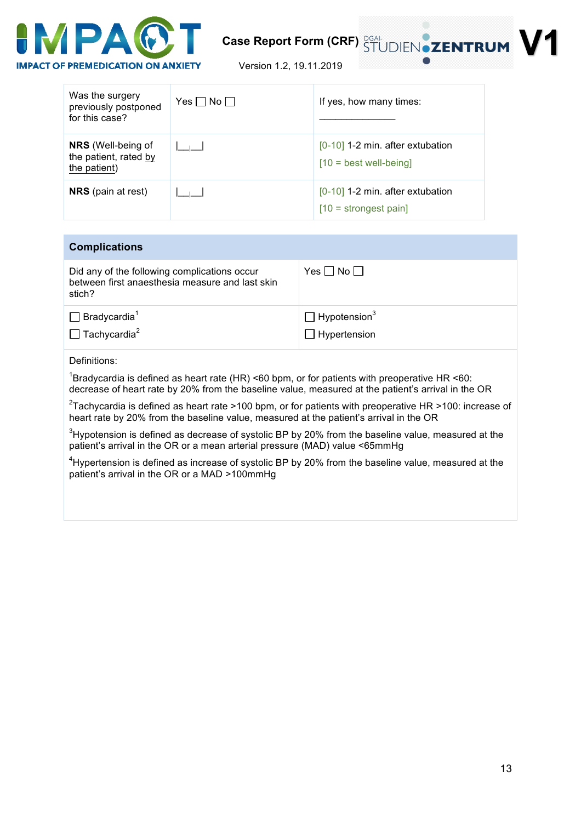

Version 1.2, 19.11.2019

| Was the surgery<br>previously postponed<br>for this case?          | $Yes \Box No \Box$ | If yes, how many times:                                        |
|--------------------------------------------------------------------|--------------------|----------------------------------------------------------------|
| <b>NRS</b> (Well-being of<br>the patient, rated by<br>the patient) |                    | $[0-10]$ 1-2 min. after extubation<br>$[10 = best well-being]$ |
| <b>NRS</b> (pain at rest)                                          |                    | $[0-10]$ 1-2 min. after extubation<br>$[10 =$ strongest pain]  |

| <b>Complications</b>                                                                                      |                                                        |
|-----------------------------------------------------------------------------------------------------------|--------------------------------------------------------|
| Did any of the following complications occur<br>between first anaesthesia measure and last skin<br>stich? | $Yes \Box No \Box$                                     |
| $\Box$ Bradycardia <sup>1</sup><br>$\Box$ Tachycardia <sup>2</sup>                                        | $\Box$ Hypotension <sup>3</sup><br>$\Box$ Hypertension |
| Definitions:                                                                                              |                                                        |

<sup>1</sup>Bradycardia is defined as heart rate (HR) <60 bpm, or for patients with preoperative HR <60: decrease of heart rate by 20% from the baseline value, measured at the patient's arrival in the OR

<sup>2</sup>Tachycardia is defined as heart rate >100 bpm, or for patients with preoperative HR >100: increase of heart rate by 20% from the baseline value, measured at the patient's arrival in the OR

 $3$ Hypotension is defined as decrease of systolic BP by 20% from the baseline value, measured at the patient's arrival in the OR or a mean arterial pressure (MAD) value <65mmHg

 $4$ Hypertension is defined as increase of systolic BP by 20% from the baseline value, measured at the patient's arrival in the OR or a MAD >100mmHg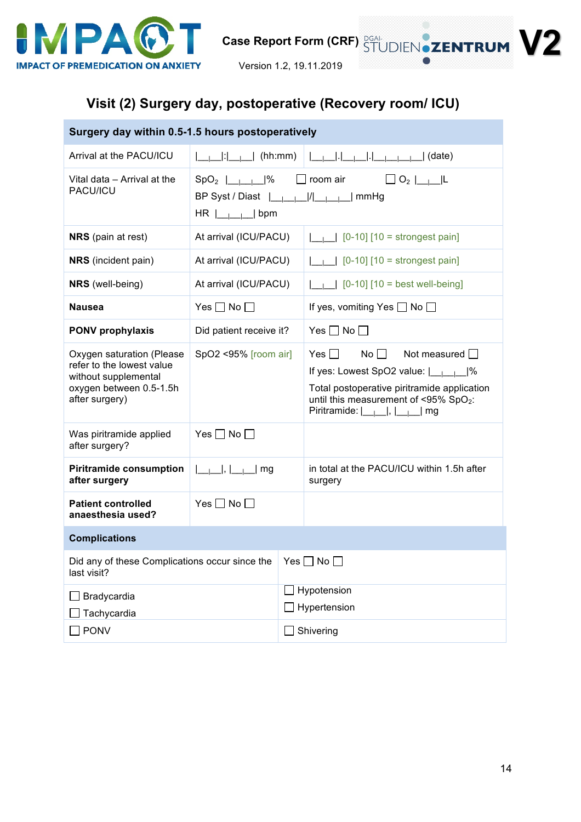

## **Visit (2) Surgery day, postoperative (Recovery room/ ICU)**

| Surgery day within 0.5-1.5 hours postoperatively                                                                            |                                                                                                                                        |                               |                                                                                                                                                                                                                                                            |  |
|-----------------------------------------------------------------------------------------------------------------------------|----------------------------------------------------------------------------------------------------------------------------------------|-------------------------------|------------------------------------------------------------------------------------------------------------------------------------------------------------------------------------------------------------------------------------------------------------|--|
| Arrival at the PACU/ICU                                                                                                     |                                                                                                                                        |                               |                                                                                                                                                                                                                                                            |  |
| Vital data - Arrival at the<br>PACU/ICU                                                                                     | $SpO_2$ $\begin{array}{ c c c c c }\n\hline\n-1 & -1\n\end{array}$<br>BP Syst / Diast  _____ / _____  mmHg<br>$HR$ $\Box$ $\Box$   bpm |                               | $\Box$ room air $\Box$ O <sub>2</sub> $\Box$                                                                                                                                                                                                               |  |
| <b>NRS</b> (pain at rest)                                                                                                   | At arrival (ICU/PACU)                                                                                                                  |                               | $\begin{bmatrix} 0 & -10 \end{bmatrix}$ [10 = strongest pain]                                                                                                                                                                                              |  |
| <b>NRS</b> (incident pain)                                                                                                  | At arrival (ICU/PACU)                                                                                                                  |                               | $\Box$ [0-10] [10 = strongest pain]                                                                                                                                                                                                                        |  |
| <b>NRS</b> (well-being)                                                                                                     | At arrival (ICU/PACU)                                                                                                                  |                               | $\begin{bmatrix} 0 & -1 & 0 \\ 0 & -1 & 0 \end{bmatrix}$ [10 = best well-being]                                                                                                                                                                            |  |
| <b>Nausea</b>                                                                                                               | Yes $\Box$ No $\Box$                                                                                                                   |                               | If yes, vomiting Yes $\Box$ No $\Box$                                                                                                                                                                                                                      |  |
| <b>PONV prophylaxis</b>                                                                                                     | Did patient receive it?                                                                                                                |                               | Yes $\Box$ No $\Box$                                                                                                                                                                                                                                       |  |
| Oxygen saturation (Please<br>refer to the lowest value<br>without supplemental<br>oxygen between 0.5-1.5h<br>after surgery) | SpO2 <95% [room air]                                                                                                                   |                               | $Yes \Box \qquad No \Box$ Not measured $\Box$<br>If yes: Lowest SpO2 value: $\boxed{\underline{\qquad}}$  <br>Total postoperative piritramide application<br>until this measurement of <95% SpO <sub>2</sub> :<br>Piritramide: $ \_\_ \_\_ $ , $ \_\_ $ mg |  |
| Was piritramide applied<br>after surgery?                                                                                   | Yes $\Box$ No $\Box$                                                                                                                   |                               |                                                                                                                                                                                                                                                            |  |
| <b>Piritramide consumption</b><br>after surgery                                                                             | $ \_\_\_\_\ $ , $ \_\_\_\_\ $ mg                                                                                                       |                               | in total at the PACU/ICU within 1.5h after<br>surgery                                                                                                                                                                                                      |  |
| <b>Patient controlled</b><br>anaesthesia used?                                                                              | Yes $\Box$ No $\Box$                                                                                                                   |                               |                                                                                                                                                                                                                                                            |  |
| <b>Complications</b>                                                                                                        |                                                                                                                                        |                               |                                                                                                                                                                                                                                                            |  |
| Did any of these Complications occur since the<br>last visit?                                                               |                                                                                                                                        | $Yes \Box No \Box$            |                                                                                                                                                                                                                                                            |  |
| Bradycardia<br>Tachycardia                                                                                                  |                                                                                                                                        | Hypotension<br>□ Hypertension |                                                                                                                                                                                                                                                            |  |
| <b>PONV</b>                                                                                                                 |                                                                                                                                        | Shivering                     |                                                                                                                                                                                                                                                            |  |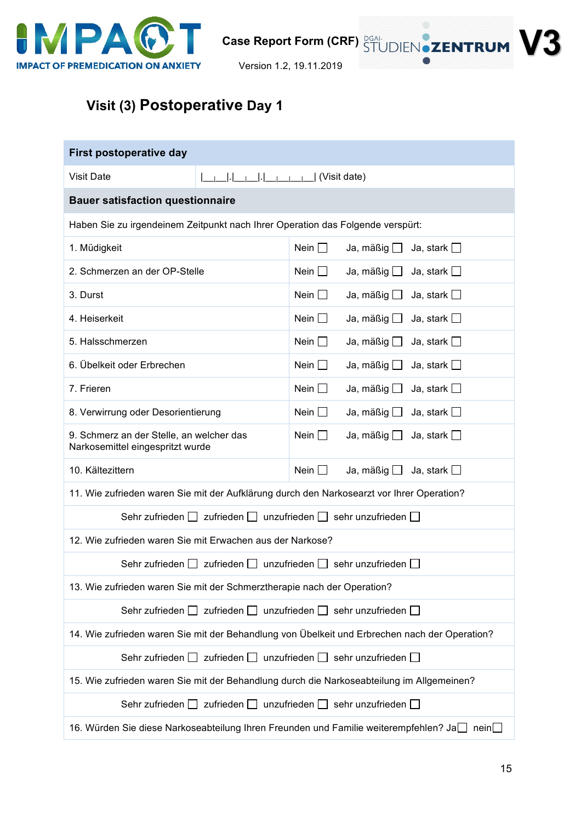

Version 1.2, 19.11.2019

# **Visit (3) Postoperative Day 1**

| First postoperative day                                                                       |                                                                                   |             |                                                                                           |  |  |  |
|-----------------------------------------------------------------------------------------------|-----------------------------------------------------------------------------------|-------------|-------------------------------------------------------------------------------------------|--|--|--|
| <b>Visit Date</b>                                                                             | (Visit date)                                                                      |             |                                                                                           |  |  |  |
|                                                                                               | <b>Bauer satisfaction questionnaire</b>                                           |             |                                                                                           |  |  |  |
| Haben Sie zu irgendeinem Zeitpunkt nach Ihrer Operation das Folgende verspürt:                |                                                                                   |             |                                                                                           |  |  |  |
| 1. Müdigkeit                                                                                  |                                                                                   | Nein $\Box$ | Ja, mäßig $\Box$<br>Ja, stark $\square$                                                   |  |  |  |
| 2. Schmerzen an der OP-Stelle                                                                 |                                                                                   | Nein $\Box$ | Ja, mäßig $\Box$<br>Ja, stark $\square$                                                   |  |  |  |
| 3. Durst                                                                                      |                                                                                   | Nein $\Box$ | Ja, mäßig $\Box$<br>Ja, stark $\square$                                                   |  |  |  |
| 4. Heiserkeit                                                                                 |                                                                                   | Nein $\Box$ | Ja, mäßig $\Box$<br>Ja, stark $\square$                                                   |  |  |  |
| 5. Halsschmerzen                                                                              |                                                                                   | Nein $\Box$ | Ja, mäßig $\Box$<br>Ja, stark $\square$                                                   |  |  |  |
| 6. Übelkeit oder Erbrechen                                                                    |                                                                                   | Nein $\Box$ | Ja, mäßig $\Box$<br>Ja, stark $\square$                                                   |  |  |  |
| 7. Frieren                                                                                    |                                                                                   | Nein $\Box$ | Ja, mäßig $\Box$<br>Ja, stark $\square$                                                   |  |  |  |
| 8. Verwirrung oder Desorientierung                                                            |                                                                                   | Nein $\Box$ | Ja, mäßig $\Box$<br>Ja, stark $\square$                                                   |  |  |  |
| 9. Schmerz an der Stelle, an welcher das<br>Narkosemittel eingespritzt wurde                  |                                                                                   | Nein $\Box$ | Ja, mäßig $\Box$<br>Ja, stark $\square$                                                   |  |  |  |
| 10. Kältezittern                                                                              |                                                                                   | Nein $\Box$ | Ja, mäßig $\Box$<br>Ja, stark $\square$                                                   |  |  |  |
|                                                                                               |                                                                                   |             | 11. Wie zufrieden waren Sie mit der Aufklärung durch den Narkosearzt vor Ihrer Operation? |  |  |  |
| Sehr zufrieden $\Box$ zufrieden $\Box$ unzufrieden $\Box$ sehr unzufrieden $\Box$             |                                                                                   |             |                                                                                           |  |  |  |
| 12. Wie zufrieden waren Sie mit Erwachen aus der Narkose?                                     |                                                                                   |             |                                                                                           |  |  |  |
|                                                                                               | Sehr zufrieden $\Box$ zufrieden $\Box$ unzufrieden $\Box$ sehr unzufrieden $\Box$ |             |                                                                                           |  |  |  |
| 13. Wie zufrieden waren Sie mit der Schmerztherapie nach der Operation?                       |                                                                                   |             |                                                                                           |  |  |  |
|                                                                                               | Sehr zufrieden   zufrieden   unzufrieden   sehr unzufrieden                       |             |                                                                                           |  |  |  |
| 14. Wie zufrieden waren Sie mit der Behandlung von Übelkeit und Erbrechen nach der Operation? |                                                                                   |             |                                                                                           |  |  |  |
| Sehr zufrieden $\Box$ zufrieden $\Box$ unzufrieden $\Box$ sehr unzufrieden $\Box$             |                                                                                   |             |                                                                                           |  |  |  |
| 15. Wie zufrieden waren Sie mit der Behandlung durch die Narkoseabteilung im Allgemeinen?     |                                                                                   |             |                                                                                           |  |  |  |
| Sehr zufrieden $\Box$ zufrieden $\Box$ unzufrieden $\Box$ sehr unzufrieden $\Box$             |                                                                                   |             |                                                                                           |  |  |  |
| 16. Würden Sie diese Narkoseabteilung Ihren Freunden und Familie weiterempfehlen? Ja<br>nein  |                                                                                   |             |                                                                                           |  |  |  |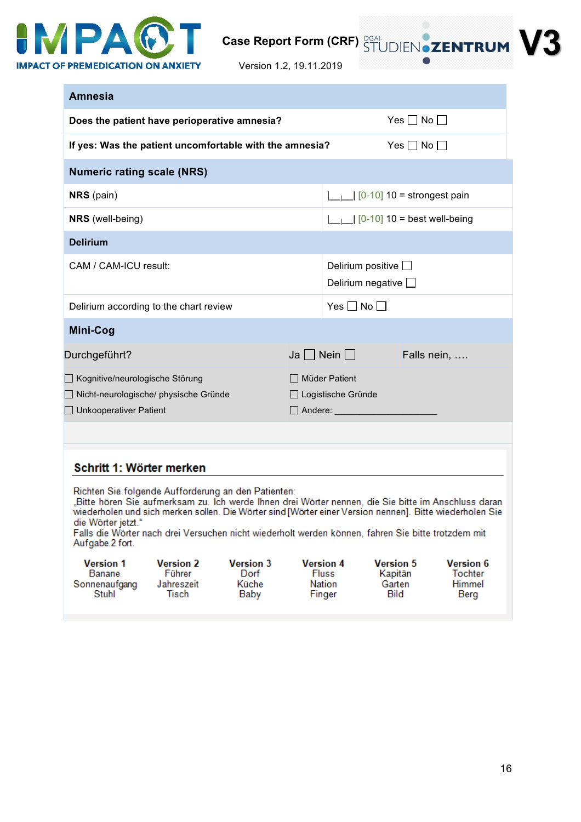

Version 1.2, 19.11.2019

| <b>Amnesia</b>                                                                                                                                                                                                                                                                                                                                                                                                                                     |                                                                                                       |                    |                                                                  |                                       |                                              |
|----------------------------------------------------------------------------------------------------------------------------------------------------------------------------------------------------------------------------------------------------------------------------------------------------------------------------------------------------------------------------------------------------------------------------------------------------|-------------------------------------------------------------------------------------------------------|--------------------|------------------------------------------------------------------|---------------------------------------|----------------------------------------------|
| Does the patient have perioperative amnesia?                                                                                                                                                                                                                                                                                                                                                                                                       |                                                                                                       | $Yes \Box No \Box$ |                                                                  |                                       |                                              |
| If yes: Was the patient uncomfortable with the amnesia?                                                                                                                                                                                                                                                                                                                                                                                            |                                                                                                       |                    |                                                                  | Yes $\Box$ No $\Box$                  |                                              |
| <b>Numeric rating scale (NRS)</b>                                                                                                                                                                                                                                                                                                                                                                                                                  |                                                                                                       |                    |                                                                  |                                       |                                              |
| <b>NRS</b> (pain)                                                                                                                                                                                                                                                                                                                                                                                                                                  |                                                                                                       |                    | $\begin{bmatrix} 0.10 \\ 0.10 \end{bmatrix}$ 10 = strongest pain |                                       |                                              |
| <b>NRS</b> (well-being)                                                                                                                                                                                                                                                                                                                                                                                                                            |                                                                                                       |                    | $\vert \ \vert$   $\vert$ 0-10 10 = best well-being              |                                       |                                              |
| <b>Delirium</b>                                                                                                                                                                                                                                                                                                                                                                                                                                    |                                                                                                       |                    |                                                                  |                                       |                                              |
| CAM / CAM-ICU result:                                                                                                                                                                                                                                                                                                                                                                                                                              |                                                                                                       |                    | Delirium positive $\square$<br>Delirium negative $\Box$          |                                       |                                              |
| Delirium according to the chart review                                                                                                                                                                                                                                                                                                                                                                                                             |                                                                                                       |                    | Yes $\Box$ No $\Box$                                             |                                       |                                              |
| Mini-Cog                                                                                                                                                                                                                                                                                                                                                                                                                                           |                                                                                                       |                    |                                                                  |                                       |                                              |
| Durchgeführt?                                                                                                                                                                                                                                                                                                                                                                                                                                      |                                                                                                       |                    | $Ja \Box$ Nein $\Box$                                            | Falls nein,                           |                                              |
| Kognitive/neurologische Störung<br>Nicht-neurologische/ physische Gründe<br>$\Box$ Unkooperativer Patient                                                                                                                                                                                                                                                                                                                                          |                                                                                                       |                    | □ Müder Patient<br>□ Logistische Gründe<br>$\Box$ Andere:        |                                       |                                              |
|                                                                                                                                                                                                                                                                                                                                                                                                                                                    |                                                                                                       |                    |                                                                  |                                       |                                              |
| Schritt 1: Wörter merken<br>Richten Sie folgende Aufforderung an den Patienten:<br>Bitte hören Sie aufmerksam zu. Ich werde Ihnen drei Wörter nennen, die Sie bitte im Anschluss daran,<br>wiederholen und sich merken sollen. Die Wörter sind [Wörter einer Version nennen]. Bitte wiederholen Sie<br>die Wörter jetzt."<br>Falls die Wörter nach drei Versuchen nicht wiederholt werden können, fahren Sie bitte trotzdem mit<br>Aufgabe 2 fort. |                                                                                                       |                    |                                                                  |                                       |                                              |
| <b>Version 1</b><br>Banane<br>Sonnenaufgang<br>Stuhl                                                                                                                                                                                                                                                                                                                                                                                               | <b>Version 3</b><br><b>Version 2</b><br>Führer<br>Dorf<br>Küche<br>Jahreszeit<br><b>Tisch</b><br>Baby | Finger             | <b>Version 4</b><br><b>Fluss</b><br><b>Nation</b>                | <b>Version 5</b><br>Kapitän<br>Garten | <b>Version 6</b><br><b>Tochter</b><br>Himmel |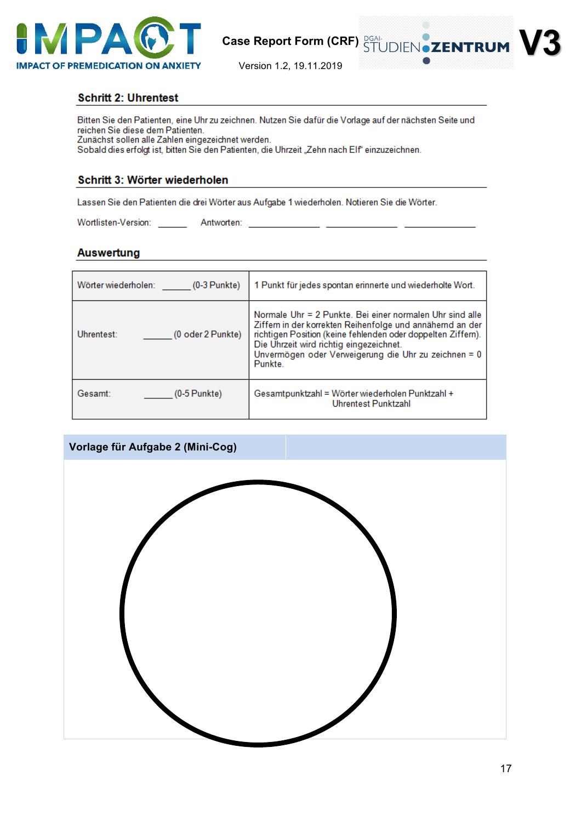



#### **Schritt 2: Uhrentest**

Bitten Sie den Patienten, eine Uhr zu zeichnen. Nutzen Sie dafür die Vorlage auf der nächsten Seite und reichen Sie diese dem Patienten. Zunächst sollen alle Zahlen eingezeichnet werden.

Sobald dies erfolgt ist, bitten Sie den Patienten, die Uhrzeit "Zehn nach Elf" einzuzeichnen.

#### Schritt 3: Wörter wiederholen

Lassen Sie den Patienten die drei Wörter aus Aufgabe 1 wiederholen. Notieren Sie die Wörter.

#### **Auswertung**

| Wörter wiederholen:<br>$(0-3$ Punkte) | 1 Punkt für jedes spontan erinnerte und wiederholte Wort.                                                                                                                                                                                                                                           |
|---------------------------------------|-----------------------------------------------------------------------------------------------------------------------------------------------------------------------------------------------------------------------------------------------------------------------------------------------------|
| (0 oder 2 Punkte)<br>Uhrentest:       | Normale Uhr = 2 Punkte. Bei einer normalen Uhr sind alle<br>Ziffern in der korrekten Reihenfolge und annähernd an der<br>richtigen Position (keine fehlenden oder doppelten Ziffern).<br>Die Uhrzeit wird richtig eingezeichnet.<br>Unvermögen oder Verweigerung die Uhr zu zeichnen = 0<br>Punkte. |
| (0-5 Punkte)<br>Gesamt:               | Gesamtpunktzahl = Wörter wiederholen Punktzahl +<br>Uhrentest Punktzahl                                                                                                                                                                                                                             |

### **Vorlage für Aufgabe 2 (Mini-Cog)**

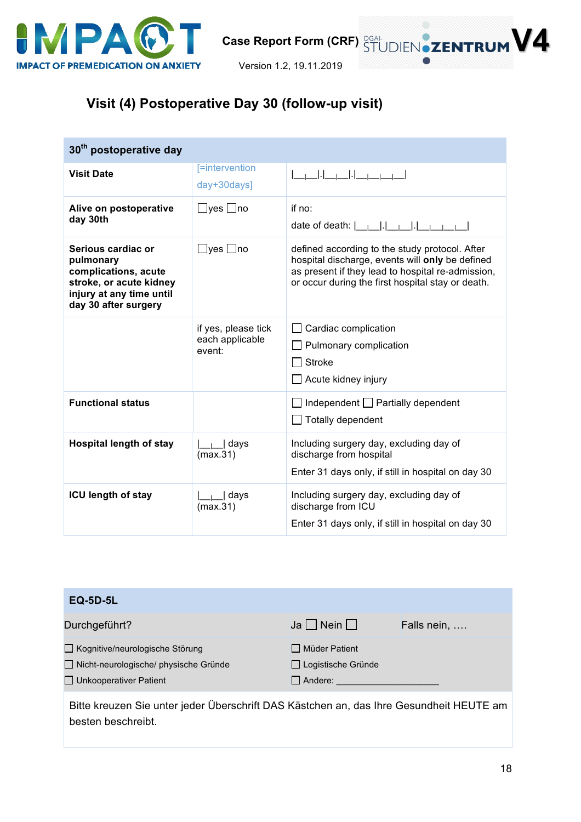

Version 1.2, 19.11.2019

## **Visit (4) Postoperative Day 30 (follow-up visit)**

| 30 <sup>th</sup> postoperative day                                                                                                     |                                                  |                                                                                                                                                                                                             |  |  |
|----------------------------------------------------------------------------------------------------------------------------------------|--------------------------------------------------|-------------------------------------------------------------------------------------------------------------------------------------------------------------------------------------------------------------|--|--|
| <b>Visit Date</b>                                                                                                                      | [=intervention<br>day+30days]                    |                                                                                                                                                                                                             |  |  |
| Alive on postoperative<br>day 30th                                                                                                     | ⊟yes ⊡no                                         | if $no:$<br>date of death: $\vert \vert \vert \vert \vert \vert \vert \vert \vert \vert \vert \vert \vert \vert \vert \vert \vert$                                                                          |  |  |
| Serious cardiac or<br>pulmonary<br>complications, acute<br>stroke, or acute kidney<br>injury at any time until<br>day 30 after surgery | ∃yes ⊡no                                         | defined according to the study protocol. After<br>hospital discharge, events will only be defined<br>as present if they lead to hospital re-admission,<br>or occur during the first hospital stay or death. |  |  |
|                                                                                                                                        | if yes, please tick<br>each applicable<br>event: | Cardiac complication<br>Pulmonary complication<br><b>Stroke</b><br>Acute kidney injury                                                                                                                      |  |  |
| <b>Functional status</b>                                                                                                               |                                                  | Independent $\Box$ Partially dependent<br>$\Box$ Totally dependent                                                                                                                                          |  |  |
| <b>Hospital length of stay</b>                                                                                                         | days<br>(max.31)                                 | Including surgery day, excluding day of<br>discharge from hospital<br>Enter 31 days only, if still in hospital on day 30                                                                                    |  |  |
| ICU length of stay                                                                                                                     | days<br>(max.31)                                 | Including surgery day, excluding day of<br>discharge from ICU<br>Enter 31 days only, if still in hospital on day 30                                                                                         |  |  |

| <b>EQ-5D-5L</b>                                                                                               |                                                           |             |
|---------------------------------------------------------------------------------------------------------------|-----------------------------------------------------------|-------------|
| Durchgeführt?                                                                                                 | $Ja$   Nein                                               | Falls nein, |
| □ Kognitive/neurologische Störung<br>□ Nicht-neurologische/ physische Gründe<br>$\Box$ Unkooperativer Patient | □ Müder Patient<br>□ Logistische Gründe<br>$\Box$ Andere: |             |
| Ritto krouzen Sie unter jeder Überschrift DAS Köstchen an, das Ihre Gesundheit HELITE am                      |                                                           |             |

Bitte kreuzen Sie unter jeder Überschrift DAS Kästchen an, das Ihre Gesundheit HEUTE am besten beschreibt.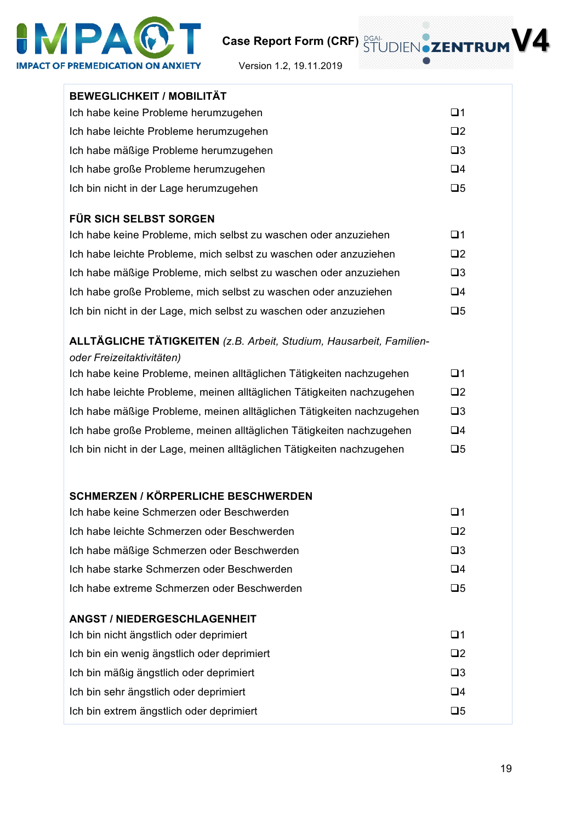

**V4**

Version 1.2, 19.11.2019

| <b>BEWEGLICHKEIT / MOBILITÄT</b>                                                                         |             |
|----------------------------------------------------------------------------------------------------------|-------------|
| Ich habe keine Probleme herumzugehen                                                                     | $\Box$ 1    |
| Ich habe leichte Probleme herumzugehen                                                                   | $\Box$ 2    |
| Ich habe mäßige Probleme herumzugehen                                                                    | $\square$ 3 |
| Ich habe große Probleme herumzugehen                                                                     | $\Box 4$    |
| Ich bin nicht in der Lage herumzugehen                                                                   | $\square 5$ |
| <b>FÜR SICH SELBST SORGEN</b>                                                                            |             |
| Ich habe keine Probleme, mich selbst zu waschen oder anzuziehen                                          | $\Box$ 1    |
| Ich habe leichte Probleme, mich selbst zu waschen oder anzuziehen                                        | $\square$   |
| Ich habe mäßige Probleme, mich selbst zu waschen oder anzuziehen                                         | $\square$ 3 |
| Ich habe große Probleme, mich selbst zu waschen oder anzuziehen                                          | $\Box 4$    |
| Ich bin nicht in der Lage, mich selbst zu waschen oder anzuziehen                                        | $\square$   |
| <b>ALLTÄGLICHE TÄTIGKEITEN</b> (z.B. Arbeit, Studium, Hausarbeit, Familien-<br>oder Freizeitaktivitäten) |             |
| Ich habe keine Probleme, meinen alltäglichen Tätigkeiten nachzugehen                                     | $\Box$ 1    |
| Ich habe leichte Probleme, meinen alltäglichen Tätigkeiten nachzugehen                                   | $\square$   |
| Ich habe mäßige Probleme, meinen alltäglichen Tätigkeiten nachzugehen                                    | $\square$ 3 |
| Ich habe große Probleme, meinen alltäglichen Tätigkeiten nachzugehen                                     | $\Box 4$    |
| Ich bin nicht in der Lage, meinen alltäglichen Tätigkeiten nachzugehen                                   | $\Box 5$    |
|                                                                                                          |             |
| <b>SCHMERZEN / KÖRPERLICHE BESCHWERDEN</b>                                                               |             |
| Ich habe keine Schmerzen oder Beschwerden                                                                | $\Box$ 1    |
| Ich habe leichte Schmerzen oder Beschwerden                                                              | $\Box$ 2    |
| Ich habe mäßige Schmerzen oder Beschwerden                                                               | $\square$ 3 |
| Ich habe starke Schmerzen oder Beschwerden                                                               | $\Box 4$    |
| Ich habe extreme Schmerzen oder Beschwerden                                                              | $\Box 5$    |
| <b>ANGST / NIEDERGESCHLAGENHEIT</b>                                                                      |             |
| Ich bin nicht ängstlich oder deprimiert                                                                  | $\Box$ 1    |
| Ich bin ein wenig ängstlich oder deprimiert                                                              | $\square$   |
| Ich bin mäßig ängstlich oder deprimiert                                                                  | $\square$ 3 |
| Ich bin sehr ängstlich oder deprimiert                                                                   | $\Box 4$    |
| Ich bin extrem ängstlich oder deprimiert                                                                 | $\Box 5$    |